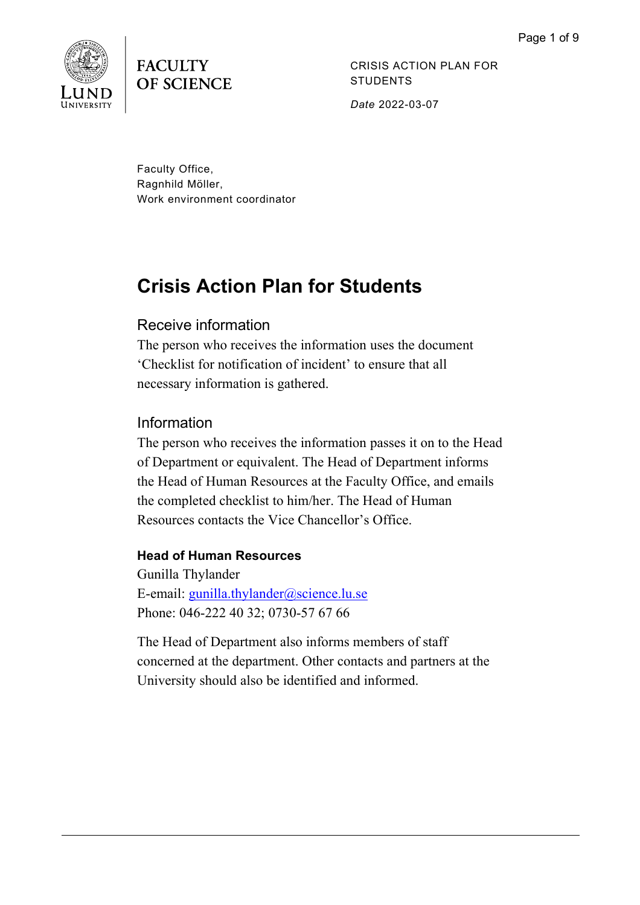

**FACULTY OF SCIENCE** 

CRISIS ACTION PLAN FOR **STUDENTS** *Date* 2022-03-07

Faculty Office, Ragnhild Möller, Work environment coordinator

# **Crisis Action Plan for Students**

# Receive information

The person who receives the information uses the document 'Checklist for notification of incident' to ensure that all necessary information is gathered.

# Information

The person who receives the information passes it on to the Head of Department or equivalent. The Head of Department informs the Head of Human Resources at the Faculty Office, and emails the completed checklist to him/her. The Head of Human Resources contacts the Vice Chancellor's Office.

# **Head of Human Resources**

Gunilla Thylander E-email: [gunilla.thylander@science.lu.se](mailto:gunilla.thylander@science.lu.se) Phone: 046-222 40 32; 0730-57 67 66

The Head of Department also informs members of staff concerned at the department. Other contacts and partners at the University should also be identified and informed.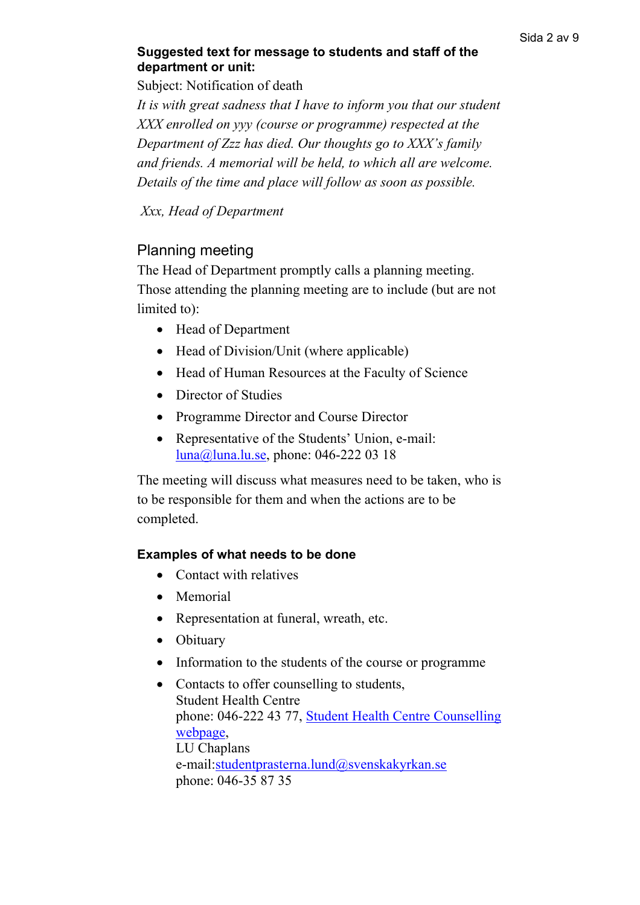# **Suggested text for message to students and staff of the department or unit:**

Subject: Notification of death

*It is with great sadness that I have to inform you that our student XXX enrolled on yyy (course or programme) respected at the Department of Zzz has died. Our thoughts go to XXX's family and friends. A memorial will be held, to which all are welcome. Details of the time and place will follow as soon as possible.*

*Xxx, Head of Department* 

# Planning meeting

The Head of Department promptly calls a planning meeting. Those attending the planning meeting are to include (but are not limited to):

- Head of Department
- Head of Division/Unit (where applicable)
- Head of Human Resources at the Faculty of Science
- Director of Studies
- Programme Director and Course Director
- Representative of the Students' Union, e-mail: [luna@luna.lu.se,](mailto:luna@luna.lu.se) phone: 046-222 03 18

The meeting will discuss what measures need to be taken, who is to be responsible for them and when the actions are to be completed.

# **Examples of what needs to be done**

- Contact with relatives
- Memorial
- Representation at funeral, wreath, etc.
- Obituary
- Information to the students of the course or programme
- Contacts to offer counselling to students, Student Health Centre phone: 046-222 43 77, [Student Health Centre Counselling](https://www.lunduniversity.lu.se/current-students/health-care/student-health-counselling)  [webpage,](https://www.lunduniversity.lu.se/current-students/health-care/student-health-counselling) LU Chaplans e-mail[:studentprasterna.lund@svenskakyrkan.se](mailto:studentprasterna.lund@svenskakyrkan.se) phone: 046-35 87 35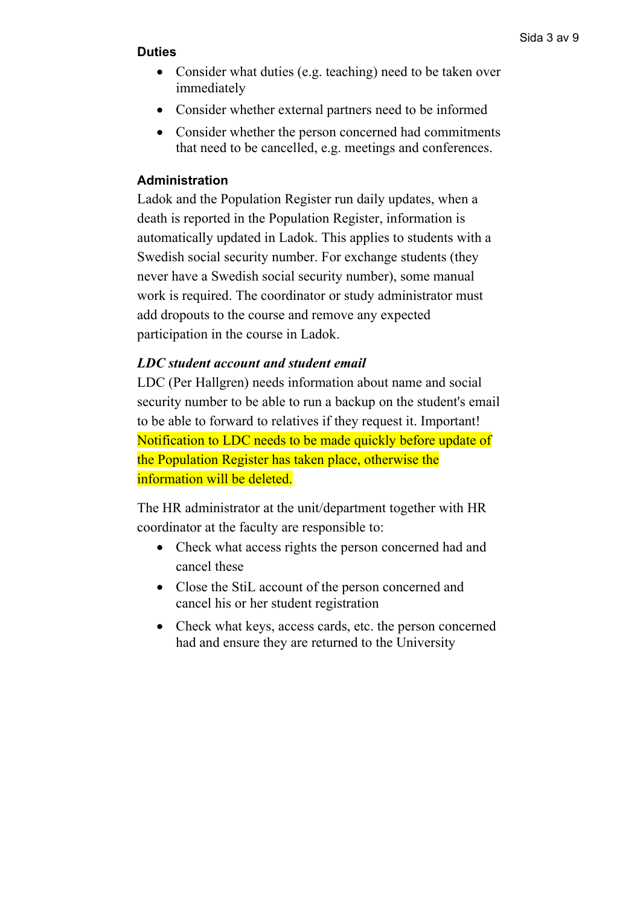#### **Duties**

- Consider what duties (e.g. teaching) need to be taken over immediately
- Consider whether external partners need to be informed
- Consider whether the person concerned had commitments that need to be cancelled, e.g. meetings and conferences.

#### **Administration**

Ladok and the Population Register run daily updates, when a death is reported in the Population Register, information is automatically updated in Ladok. This applies to students with a Swedish social security number. For exchange students (they never have a Swedish social security number), some manual work is required. The coordinator or study administrator must add dropouts to the course and remove any expected participation in the course in Ladok.

#### *LDC student account and student email*

LDC (Per Hallgren) needs information about name and social security number to be able to run a backup on the student's email to be able to forward to relatives if they request it. Important! Notification to LDC needs to be made quickly before update of the Population Register has taken place, otherwise the information will be deleted.

The HR administrator at the unit/department together with HR coordinator at the faculty are responsible to:

- Check what access rights the person concerned had and cancel these
- Close the StiL account of the person concerned and cancel his or her student registration
- Check what keys, access cards, etc. the person concerned had and ensure they are returned to the University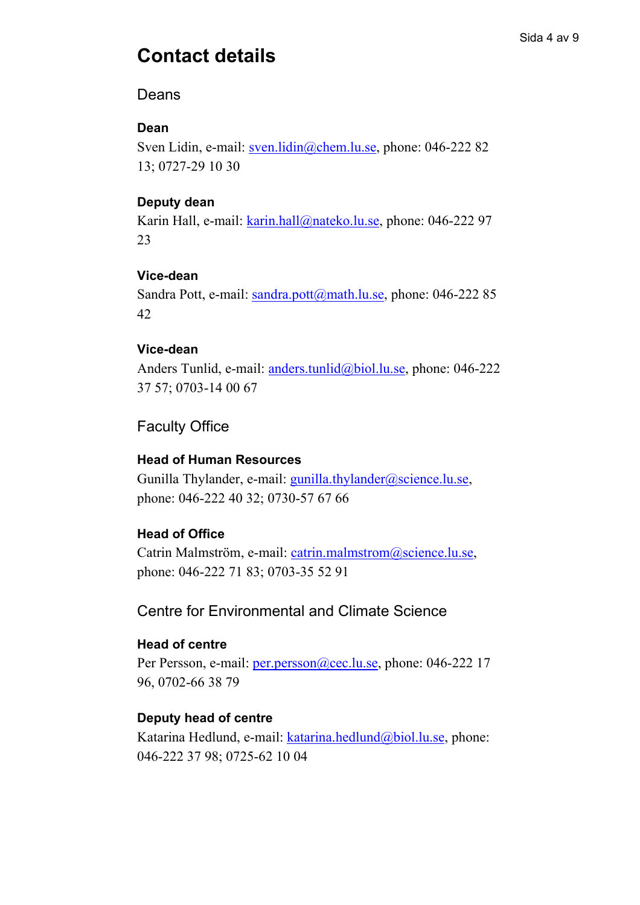# **Contact details**

#### Sida 4 av 9

# Deans

# **Dean**

Sven Lidin, e-mail: [sven.lidin@chem.lu.se,](mailto:sven.lidin@chem.lu.se) phone: 046-222 82 13; 0727-29 10 30

#### **Deputy dean**

Karin Hall, e-mail: [karin.hall@nateko.lu.se,](mailto:karin.hall@nateko.lu.se) phone: 046-222 97 23

#### **Vice-dean**

Sandra Pott, e-mail: [sandra.pott@math.lu.se,](mailto:sandra.pott@math.lu.se) phone: 046-222 85 42

#### **Vice-dean**

Anders Tunlid, e-mail: [anders.tunlid@biol.lu.se,](mailto:anders.tunlid@biol.lu.se) phone: 046-222 37 57; 0703-14 00 67

# Faculty Office

## **Head of Human Resources**

Gunilla Thylander, e-mail: [gunilla.thylander@science.lu.se,](mailto:gunilla.thylander@science.lu.se) phone: 046-222 40 32; 0730-57 67 66

# **Head of Office**

Catrin Malmström, e-mail: [catrin.malmstrom@science.lu.se,](mailto:catrin.malmstrom@science.lu.se) phone: 046-222 71 83; 0703-35 52 91

# Centre for Environmental and Climate Science

#### **Head of centre**

Per Persson, e-mail: [per.persson@cec.lu.se,](mailto:per.persson@cec.lu.se) phone: 046-222 17 96, 0702-66 38 79

# **Deputy head of centre**

Katarina Hedlund, e-mail: [katarina.hedlund@biol.lu.se,](mailto:katarina.hedlund@biol.lu.se) phone: 046-222 37 98; 0725-62 10 04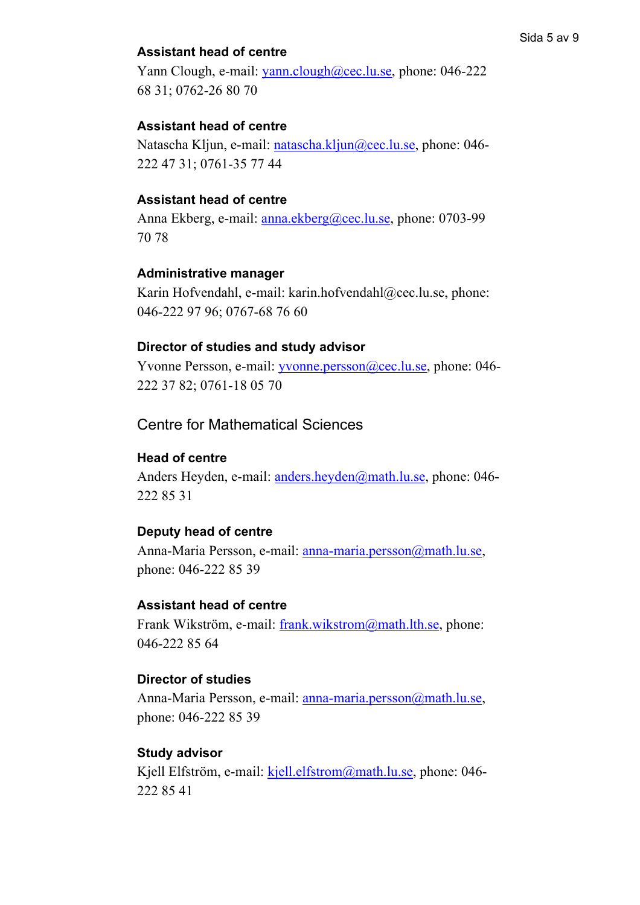## **Assistant head of centre**

Yann Clough, e-mail: [yann.clough@cec.lu.se,](mailto:yann.clough@cec.lu.se) phone: 046-222 68 31; 0762-26 80 70

#### **Assistant head of centre**

Natascha Kljun, e-mail: [natascha.kljun@cec.lu.se,](mailto:natascha.kljun@cec.lu.se) phone: 046- 222 47 31; 0761-35 77 44

#### **Assistant head of centre**

Anna Ekberg, e-mail: [anna.ekberg@cec.lu.se,](mailto:anna.ekberg@cec.lu.se) phone: 0703-99 70 78

#### **Administrative manager**

Karin Hofvendahl, e-mail: [karin.hofvendahl@cec.lu.se,](mailto:karin.hofvendahl@cec.lu.se) phone: 046-222 97 96; 0767-68 76 60

#### **Director of studies and study advisor**

Yvonne Persson, e-mail: [yvonne.persson@cec.lu.se,](mailto:yvonne.persson@cec.lu.se) phone: 046-222 37 82; 0761-18 05 70

# Centre for Mathematical Sciences

#### **Head of centre**

Anders Heyden, e-mail: [anders.heyden@math.lu.se,](mailto:anders.heyden@math.lu.se) phone: 046- 222 85 31

#### **Deputy head of centre**

Anna-Maria Persson, e-mail: [anna-maria.persson@math.lu.se,](mailto:anna-maria.persson@math.lu.se) phone: 046-222 85 39

#### **Assistant head of centre**

Frank Wikström, e-mail: [frank.wikstrom@math.lth.se,](mailto:frank.wikstrom@math.lth.se) phone: 046-222 85 64

#### **Director of studies**

Anna-Maria Persson, e-mail: [anna-maria.persson@math.lu.se,](mailto:anna-maria.persson@math.lu.se) phone: 046-222 85 39

#### **Study advisor**

Kjell Elfström, e-mail: [kjell.elfstrom@math.lu.se,](mailto:kjell.elfstrom@math.lu.se) phone: 046- 222 85 41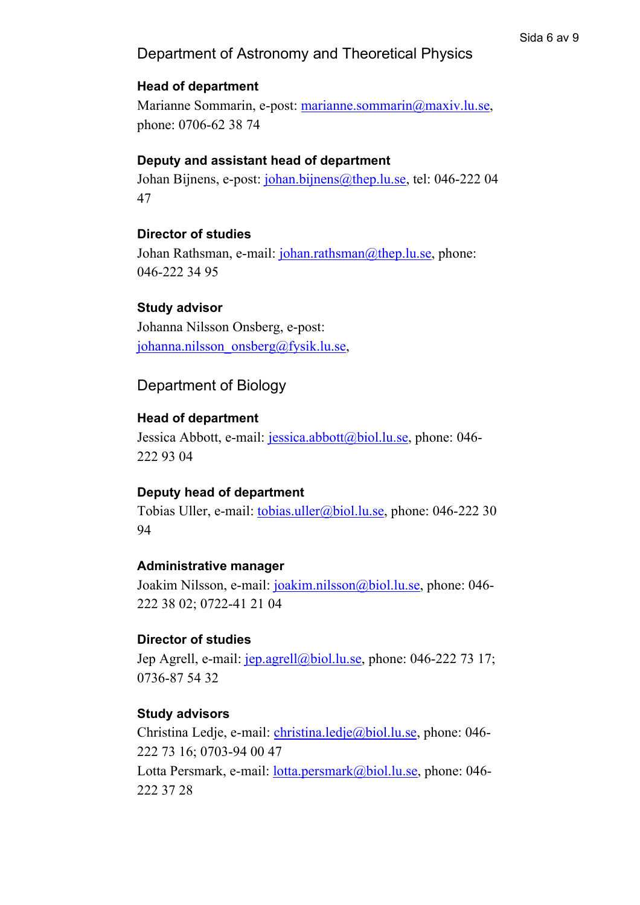# Department of Astronomy and Theoretical Physics

## **Head of department**

Marianne Sommarin, e-post: [marianne.sommarin@maxiv.lu.se,](mailto:marianne.sommarin@maxiv.lu.se) phone: 0706-62 38 74

## **Deputy and assistant head of department**

Johan Bijnens, e-post: [johan.bijnens@thep.lu.se,](mailto:johan.bijnens@thep.lu.se) tel: 046-222 04 47

#### **Director of studies**

Johan Rathsman, e-mail: [johan.rathsman@thep.lu.se,](mailto:johan.rathsman@thep.lu.se) phone: 046-222 34 95

#### **Study advisor**

Johanna Nilsson Onsberg, e-post: [johanna.nilsson\\_onsberg@fysik.lu.se,](mailto:johanna.nilsson_onsberg@fysik.lu.se)

# Department of Biology

#### **Head of department**

Jessica Abbott, e-mail: [jessica.abbott@biol.lu.se,](mailto:jessica.abbott@biol.lu.se) phone: 046-222 93 04

#### **Deputy head of department**

Tobias Uller, e-mail: [tobias.uller@biol.lu.se,](mailto:tobias.uller@biol.lu.se) phone: 046-222 30 94

#### **Administrative manager**

Joakim Nilsson, e-mail: [joakim.nilsson@biol.lu.se,](mailto:joakim.nilsson@biol.lu.se) phone: 046- 222 38 02; 0722-41 21 04

#### **Director of studies**

Jep Agrell, e-mail: [jep.agrell@biol.lu.se,](mailto:jep.agrell@biol.lu.se) phone: 046-222 73 17; 0736-87 54 32

#### **Study advisors**

Christina Ledje, e-mail: [christina.ledje@biol.lu.se,](mailto:christina.ledje@biol.lu.se) phone: 046-222 73 16; 0703-94 00 47 Lotta Persmark, e-mail: *lotta.persmark@biol.lu.se*, phone: 046-

222 37 28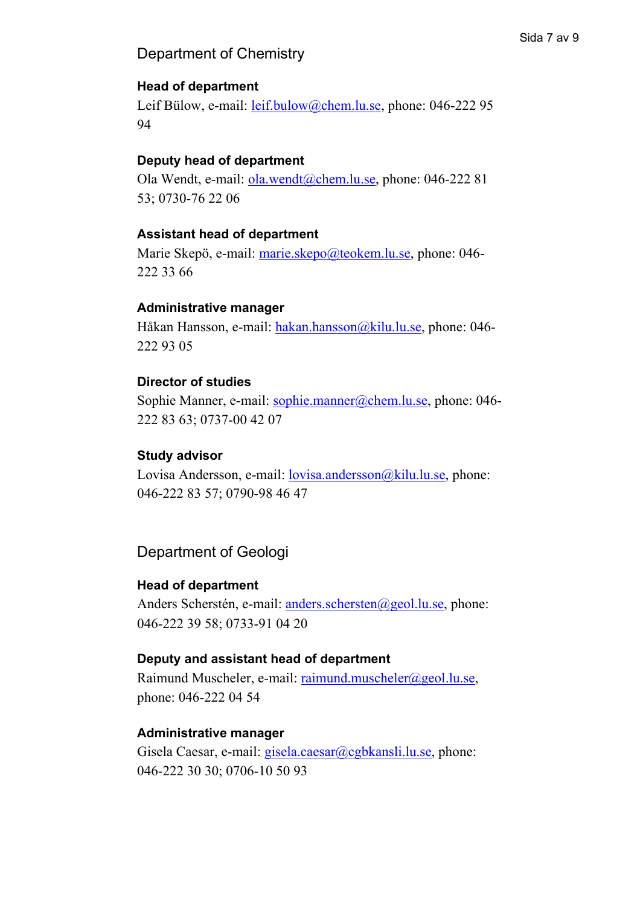# Department of Chemistry

#### Sida 7 av 9

# **Head of department**

Leif Bülow, e-mail: <u>leif.bulow@chem.lu.se</u>, phone: 046-222 95 94

## **Deputy head of department**

Ola Wendt, e-mail: [ola.wendt@chem.lu.se,](mailto:ola.wendt@chem.lu.se) phone: 046-222 81 53; 0730-76 22 06

#### **Assistant head of department**

Marie Skepö, e-mail: [marie.skepo@teokem.lu.se,](mailto:marie.skepo@teokem.lu.se) phone: 046-222 33 66

#### **Administrative manager**

Håkan Hansson, e-mail: [hakan.hansson@kilu.lu.se,](mailto:hakan.hansson@kilu.lu.se) phone: 046-222 93 05

#### **Director of studies**

Sophie Manner, e-mail: [sophie.manner@chem.lu.se,](mailto:sophie.manner@chem.lu.se) phone: 046-222 83 63; 0737-00 42 07

#### **Study advisor**

Lovisa Andersson, e-mail: <u>lovisa.andersson@kilu.lu.se</u>, phone: 046-222 83 57; 0790-98 46 47

Department of Geologi

#### **Head of department**

Anders Scherstén, e-mail: [anders.schersten@geol.lu.se,](mailto:anders.schersten@geol.lu.se) phone: 046-222 39 58; 0733-91 04 20

#### **Deputy and assistant head of department**

Raimund Muscheler, e-mail: [raimund.muscheler@geol.lu.se,](mailto:raimund.muscheler@geol.lu.se) phone: 046-222 04 54

# **Administrative manager**

Gisela Caesar, e-mail: [gisela.caesar@cgbkansli.lu.se,](mailto:gisela.caesar@cgbkansli.lu.se) phone: 046-222 30 30; 0706-10 50 93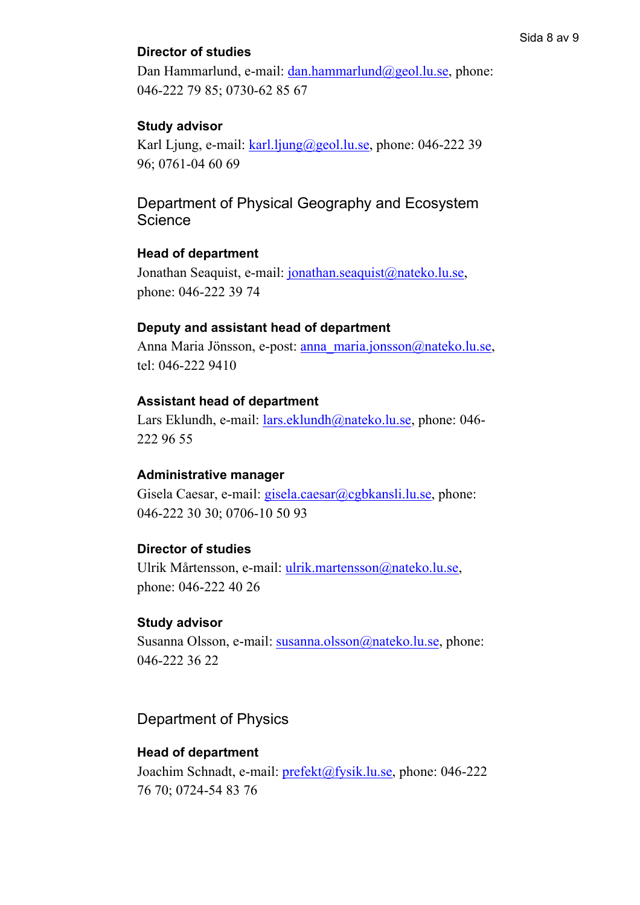# **Director of studies**

Dan Hammarlund, e-mail: [dan.hammarlund@geol.lu.se,](mailto:dan.hammarlund@geol.lu.se) phone: 046-222 79 85; 0730-62 85 67

# **Study advisor**

Karl Ljung, e-mail: [karl.ljung@geol.lu.se,](mailto:karl.ljung@geol.lu.se) phone: 046-222 39 96; 0761-04 60 69

Department of Physical Geography and Ecosystem **Science** 

# **Head of department**

Jonathan Seaquist, e-mail: [jonathan.seaquist@nateko.lu.se,](mailto:jonathan.seaquist@nateko.lu.se) phone: 046-222 39 74

#### **Deputy and assistant head of department**

Anna Maria Jönsson, e-post: [anna\\_maria.jonsson@nateko.lu.se,](mailto:anna_maria.jonsson@nateko.lu.se) tel: 046-222 9410

#### **Assistant head of department**

Lars Eklundh, e-mail: [lars.eklundh@nateko.lu.se,](mailto:lars.eklundh@nateko.lu.se) phone: 046- 222 96 55

#### **Administrative manager**

Gisela Caesar, e-mail: [gisela.caesar@cgbkansli.lu.se,](mailto:gisela.caesar@cgbkansli.lu.se) phone: 046-222 30 30; 0706-10 50 93

#### **Director of studies**

Ulrik Mårtensson, e-mail: [ulrik.martensson@nateko.lu.se,](mailto:ulrik.martensson@nateko.lu.se) phone: 046-222 40 26

#### **Study advisor**

Susanna Olsson, e-mail: [susanna.olsson@nateko.lu.se,](mailto:susanna.olsson@nateko.lu.se) phone: 046-222 36 22

# Department of Physics

#### **Head of department**

Joachim Schnadt, e-mail: *prefekt@fysik.lu.se*, phone: 046-222 76 70; 0724-54 83 76